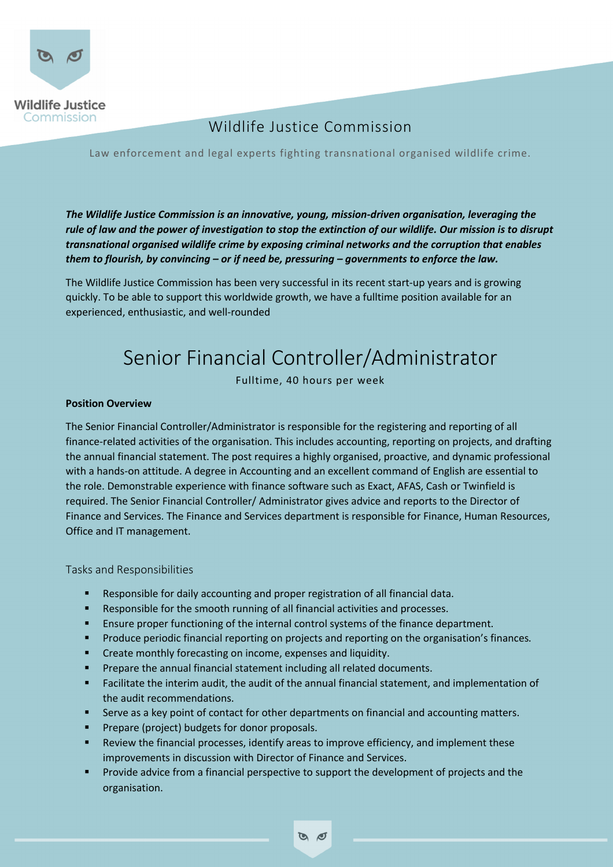

## *Job title* Wildlife Justice Commission

Law enforcement and legal experts fighting transnational organised wildlife crime.

*The Wildlife Justice Commission is an innovative, young, mission-driven organisation, leveraging the rule of law and the power of investigation to stop the extinction of our wildlife. Our mission is to disrupt transnational organised wildlife crime by exposing criminal networks and the corruption that enables them to flourish, by convincing – or if need be, pressuring – governments to enforce the law.*

The Wildlife Justice Commission has been very successful in its recent start-up years and is growing quickly. To be able to support this worldwide growth, we have a fulltime position available for an experienced, enthusiastic, and well-rounded

# Senior Financial Controller/Administrator

Fulltime, 40 hours per week

### **Position Overview**

The Senior Financial Controller/Administrator is responsible for the registering and reporting of all finance-related activities of the organisation. This includes accounting, reporting on projects, and drafting the annual financial statement. The post requires a highly organised, proactive, and dynamic professional with a hands-on attitude. A degree in Accounting and an excellent command of English are essential to the role. Demonstrable experience with finance software such as Exact, AFAS, Cash or Twinfield is required. The Senior Financial Controller/ Administrator gives advice and reports to the Director of Finance and Services. The Finance and Services department is responsible for Finance, Human Resources, Office and IT management.

Tasks and Responsibilities

- Responsible for daily accounting and proper registration of all financial data.
- Responsible for the smooth running of all financial activities and processes.
- Ensure proper functioning of the internal control systems of the finance department.
- § Produce periodic financial reporting on projects and reporting on the organisation's finances.
- Create monthly forecasting on income, expenses and liquidity.
- § Prepare the annual financial statement including all related documents.
- Facilitate the interim audit, the audit of the annual financial statement, and implementation of the audit recommendations.
- Serve as a key point of contact for other departments on financial and accounting matters.
- § Prepare (project) budgets for donor proposals.
- Review the financial processes, identify areas to improve efficiency, and implement these improvements in discussion with Director of Finance and Services.
- § Provide advice from a financial perspective to support the development of projects and the organisation.

 $\mathcal{O}$   $\varnothing$